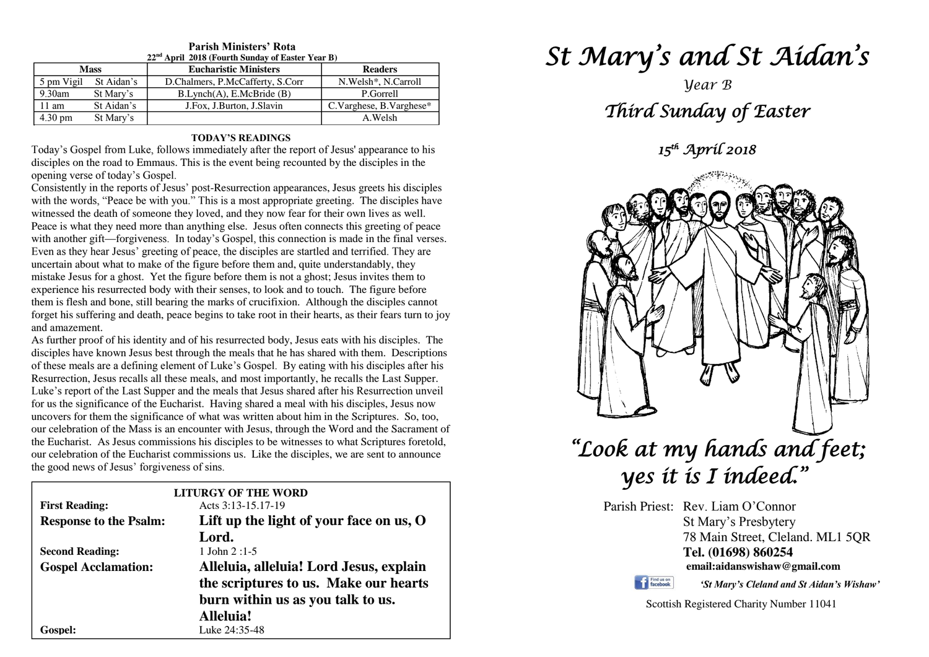| $22nd$ April 2018 (Fourth Sunday of Easter Year B) |                   |            |                                  |                         |
|----------------------------------------------------|-------------------|------------|----------------------------------|-------------------------|
|                                                    | <b>Mass</b>       |            | <b>Eucharistic Ministers</b>     | <b>Readers</b>          |
|                                                    | 5 pm Vigil        | St Aidan's | D.Chalmers, P.McCafferty, S.Corr | N. Welsh*, N. Carroll   |
|                                                    | $9.30$ am         | St Mary's  | B.Lynch(A), E.McBride(B)         | P.Gorrell               |
|                                                    | 11 am             | St Aidan's | J.Fox, J.Burton, J.Slavin        | C.Varghese, B.Varghese* |
|                                                    | $4.30 \text{ pm}$ | St Mary's  |                                  | A.Welsh                 |

# **Parish Ministers' Rota**

#### **TODAY'S READINGS**

Today's Gospel from Luke, follows immediately after the report of Jesus' appearance to his disciples on the road to Emmaus. This is the event being recounted by the disciples in the opening verse of today's Gospel.

Consistently in the reports of Jesus' post-Resurrection appearances, Jesus greets his disciples with the words, "Peace be with you." This is a most appropriate greeting. The disciples have witnessed the death of someone they loved, and they now fear for their own lives as well. Peace is what they need more than anything else. Jesus often connects this greeting of peace with another gift—forgiveness. In today's Gospel, this connection is made in the final verses. Even as they hear Jesus' greeting of peace, the disciples are startled and terrified. They are uncertain about what to make of the figure before them and, quite understandably, they mistake Jesus for a ghost. Yet the figure before them is not a ghost; Jesus invites them to experience his resurrected body with their senses, to look and to touch. The figure before them is flesh and bone, still bearing the marks of crucifixion. Although the disciples cannot forget his suffering and death, peace begins to take root in their hearts, as their fears turn to joy and amazement.

As further proof of his identity and of his resurrected body, Jesus eats with his disciples. The<br>disciples have known Jesus best through the meals that he has shared with them. Descriptions<br>of these meals are a defining el *Resurrection, Jesus recalls all these meals, and most importantly, he recalls the Last Supper.*<br>
Luke's report of the Last Supper and the meals that Jesus shared after his Resurrection unveil<br>
facus the similizance of the uncovers for them the significance of what was written about him in the Scriptures. So, too, our celebration of the Mass is an encounter with Jesus, through the Word and the Sacrament of our celebration of the Eucharist commissions us. Like the disciples, we are sent to announce the good news of Jesus' forgiveness of sins. As further proof of his identity and of his resurrected body, Jesus eats with his disciples. The of these meals are a defining element of Luke's Gospel. By eating with his disciples after his Resurrection, Jesus recalls all these meals, and most importantly, he recalls the Last Supper. for us the significance of the Eucharist. Having shared a meal with his disciples, Jesus now uncovers for them the significance of what was written about him in the Scriptures. So, too, the Eucharist. As Jesus commissions his disciples to be witnesses to what Scriptures foretold, the good news of Jesus' forgiveness of sins.

|                               | <b>LITURGY OF THE WORD</b>                |  |
|-------------------------------|-------------------------------------------|--|
| <b>First Reading:</b>         | Acts 3:13-15.17-19                        |  |
| <b>Response to the Psalm:</b> | Lift up the light of your face on us, $O$ |  |
|                               | Lord.                                     |  |
| <b>Second Reading:</b>        | 1 John $2:1-5$                            |  |
| <b>Gospel Acclamation:</b>    | Alleluia, alleluia! Lord Jesus, explain   |  |
|                               | the scriptures to us. Make our hearts     |  |
|                               | burn within us as you talk to us.         |  |
|                               | Alleluia!                                 |  |
| <b>Gospel:</b>                | Luke 24:35-48                             |  |

# *St Mary's and St Aidan's*

# *Year B Third Sunday of Easter*

*15th April 2018* 



#### **email:aidanswishaw@gmail.com**

Find us on

*'St Mary's Cleland and St Aidan's Wishaw'*

Scottish Registered Charity Number 11041